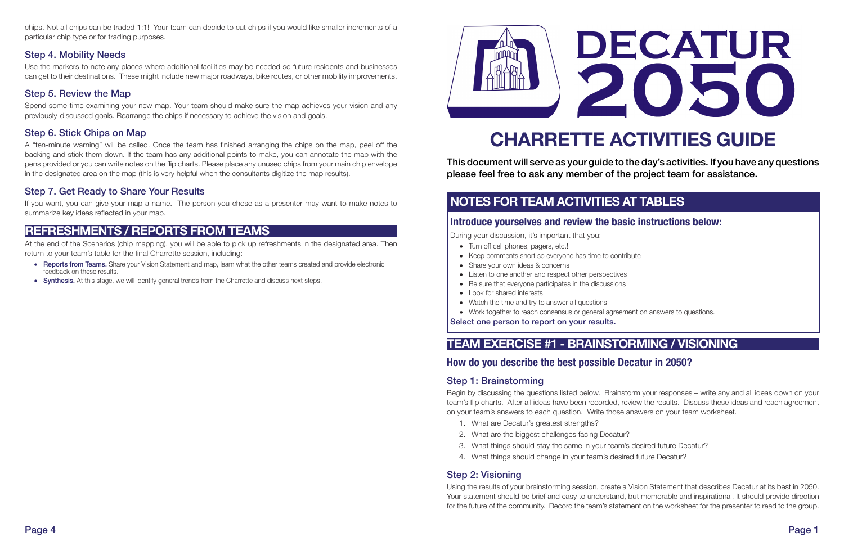# CHARRETTE ACTIVITIES GUIDE

This document will serve as your guide to the day's activities. If you have any questions please feel free to ask any member of the project team for assistance.

- • Turn off cell phones, pagers, etc.!
- Keep comments short so everyone has time to contribute
- Share your own ideas & concerns
- Listen to one another and respect other perspectives
- Be sure that everyone participates in the discussions
- Look for shared interests
- Watch the time and try to answer all questions
- Work together to reach consensus or general agreement on answers to questions.

# NOTES FOR TEAM ACTIVITIES AT TABLES

#### Introduce yourselves and review the basic instructions below:

During your discussion, it's important that you:

Select one person to report on your results.

# TEAM EXERCISE #1 - BRAINSTORMING / VISIONING

### How do you describe the best possible Decatur in 2050?

#### Step 1: Brainstorming

Begin by discussing the questions listed below. Brainstorm your responses – write any and all ideas down on your team's flip charts. After all ideas have been recorded, review the results. Discuss these ideas and reach agreement on your team's answers to each question. Write those answers on your team worksheet.

- 1. What are Decatur's greatest strengths?
- 2. What are the biggest challenges facing Decatur?
- 3. What things should stay the same in your team's desired future Decatur?
- 4. What things should change in your team's desired future Decatur?

#### Step 2: Visioning

Using the results of your brainstorming session, create a Vision Statement that describes Decatur at its best in 2050. Your statement should be brief and easy to understand, but memorable and inspirational. It should provide direction for the future of the community. Record the team's statement on the worksheet for the presenter to read to the group.

# DECATUR 2050

chips. Not all chips can be traded 1:1! Your team can decide to cut chips if you would like smaller increments of a particular chip type or for trading purposes.

#### Step 4. Mobility Needs

Use the markers to note any places where additional facilities may be needed so future residents and businesses can get to their destinations. These might include new major roadways, bike routes, or other mobility improvements.

#### Step 5. Review the Map

Spend some time examining your new map. Your team should make sure the map achieves your vision and any previously-discussed goals. Rearrange the chips if necessary to achieve the vision and goals.

#### Step 6. Stick Chips on Map

A "ten-minute warning" will be called. Once the team has finished arranging the chips on the map, peel off the backing and stick them down. If the team has any additional points to make, you can annotate the map with the pens provided or you can write notes on the flip charts. Please place any unused chips from your main chip envelope in the designated area on the map (this is very helpful when the consultants digitize the map results).

#### Step 7. Get Ready to Share Your Results

If you want, you can give your map a name. The person you chose as a presenter may want to make notes to summarize key ideas reflected in your map.

# REFRESHMENTS / REPORTS FROM TEAMS

At the end of the Scenarios (chip mapping), you will be able to pick up refreshments in the designated area. Then return to your team's table for the final Charrette session, including:

- Reports from Teams. Share your Vision Statement and map, learn what the other teams created and provide electronic feedback on these results.
- Synthesis. At this stage, we will identify general trends from the Charrette and discuss next steps.



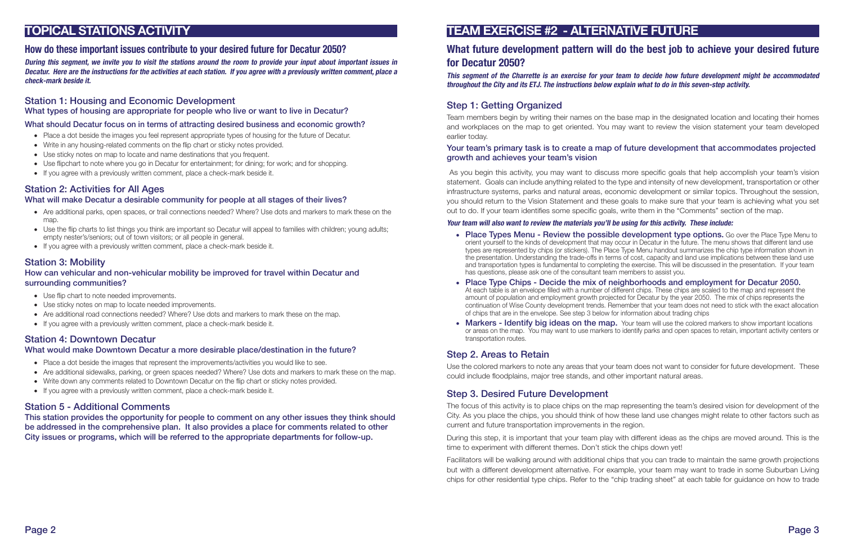# TOPICAL STATIONS ACTIVITY

#### How do these important issues contribute to your desired future for Decatur 2050?

During this segment, we invite you to visit the stations around the room to provide your input about important issues in Decatur. Here are the instructions for the activities at each station. If you agree with a previously written comment, place a check-mark beside it.

#### Station 1: Housing and Economic Development

What types of housing are appropriate for people who live or want to live in Decatur?

#### What should Decatur focus on in terms of attracting desired business and economic growth?

- Place a dot beside the images you feel represent appropriate types of housing for the future of Decatur.
- Write in any housing-related comments on the flip chart or sticky notes provided.
- Use sticky notes on map to locate and name destinations that you frequent.
- Use flipchart to note where you go in Decatur for entertainment; for dining; for work; and for shopping.
- If you agree with a previously written comment, place a check-mark beside it.

- • Are additional parks, open spaces, or trail connections needed? Where? Use dots and markers to mark these on the map.
- Use the flip charts to list things you think are important so Decatur will appeal to families with children; young adults; empty nester's/seniors; out of town visitors; or all people in general.
- If you agree with a previously written comment, place a check-mark beside it.

#### Station 2: Activities for All Ages

#### What will make Decatur a desirable community for people at all stages of their lives?

#### Station 3: Mobility

#### How can vehicular and non-vehicular mobility be improved for travel within Decatur and surrounding communities?

- Use flip chart to note needed improvements.
- Use sticky notes on map to locate needed improvements.
- Are additional road connections needed? Where? Use dots and markers to mark these on the map.
- If you agree with a previously written comment, place a check-mark beside it.

#### Station 4: Downtown Decatur

#### What would make Downtown Decatur a more desirable place/destination in the future?

- Place a dot beside the images that represent the improvements/activities you would like to see.
- Are additional sidewalks, parking, or green spaces needed? Where? Use dots and markers to mark these on the map.
- Write down any comments related to Downtown Decatur on the flip chart or sticky notes provided.
- If you agree with a previously written comment, place a check-mark beside it.

• Place Types Menu - Review the possible development type options. Go over the Place Type Menu to orient yourself to the kinds of development that may occur in Decatur in the future. The menu shows that different land use types are represented by chips (or stickers). The Place Type Menu handout summarizes the chip type information shown in the presentation. Understanding the trade-offs in terms of cost, capacity and land use implications between these land use and transportation types is fundamental to completing the exercise. This will be discussed in the presentation. If your team

• Place Type Chips - Decide the mix of neighborhoods and employment for Decatur 2050.

#### Station 5 - Additional Comments

This station provides the opportunity for people to comment on any other issues they think should be addressed in the comprehensive plan. It also provides a place for comments related to other City issues or programs, which will be referred to the appropriate departments for follow-up.

• Markers - Identify big ideas on the map. Your team will use the colored markers to show important locations or areas on the map. You may want to use markers to identify parks and open spaces to retain, important activity centers or

## TEAM EXERCISE #2 - ALTERNATIVE FUTURE

#### What future development pattern will do the best job to achieve your desired future for Decatur 2050?

# This segment of the Charrette is an exercise for your team to decide how future development might be accommodated

throughout the City and its ETJ. The instructions below explain what to do in this seven-step activity.

#### Step 1: Getting Organized

Team members begin by writing their names on the base map in the designated location and locating their homes and workplaces on the map to get oriented. You may want to review the vision statement your team developed earlier today.

#### Your team's primary task is to create a map of future development that accommodates projected growth and achieves your team's vision

 As you begin this activity, you may want to discuss more specific goals that help accomplish your team's vision statement. Goals can include anything related to the type and intensity of new development, transportation or other infrastructure systems, parks and natural areas, economic development or similar topics. Throughout the session, you should return to the Vision Statement and these goals to make sure that your team is achieving what you set out to do. If your team identifies some specific goals, write them in the "Comments" section of the map.

#### Your team will also want to review the materials you'll be using for this activity. These include:

At each table is an envelope filled with a number of different chips. These chips are scaled to the map and represent the amount of population and employment growth projected for Decatur by the year 2050. The mix of chips represents the continuation of Wise County development trends. Remember that your team does not need to stick with the exact allocation

- has questions, please ask one of the consultant team members to assist you.
- of chips that are in the envelope. See step 3 below for information about trading chips
- transportation routes.

#### Step 2. Areas to Retain

Use the colored markers to note any areas that your team does not want to consider for future development. These could include floodplains, major tree stands, and other important natural areas.

#### Step 3. Desired Future Development

The focus of this activity is to place chips on the map representing the team's desired vision for development of the City. As you place the chips, you should think of how these land use changes might relate to other factors such as current and future transportation improvements in the region.

During this step, it is important that your team play with different ideas as the chips are moved around. This is the time to experiment with different themes. Don't stick the chips down yet!

Facilitators will be walking around with additional chips that you can trade to maintain the same growth projections but with a different development alternative. For example, your team may want to trade in some Suburban Living chips for other residential type chips. Refer to the "chip trading sheet" at each table for guidance on how to trade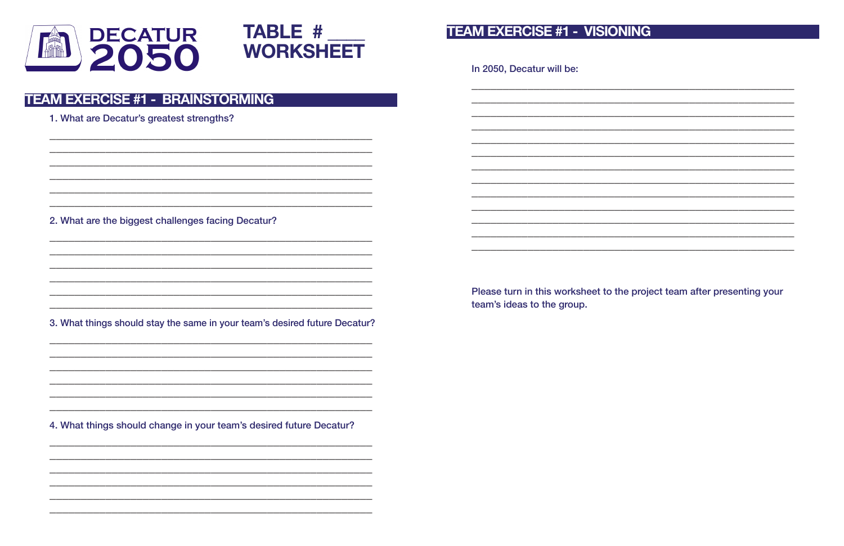



# **TEAM EXERCISE #1 - VISIONING**

In 2050, Decatur will be:

# **TEAM EXERCISE #1 - BRAINSTORMING**

1. What are Decatur's greatest strengths?

2. What are the biggest challenges facing Decatur?

3. What things should stay the same in your team's desired future Decatur?

team's ideas to the group.

4. What things should change in your team's desired future Decatur?

| <u> 1965 - Johann John Harry Harry Harry Harry Harry Harry Harry Harry Harry Harry Harry Harry Harry Harry Harry</u> |  |  |
|----------------------------------------------------------------------------------------------------------------------|--|--|
|                                                                                                                      |  |  |
|                                                                                                                      |  |  |
|                                                                                                                      |  |  |
|                                                                                                                      |  |  |
|                                                                                                                      |  |  |
|                                                                                                                      |  |  |
|                                                                                                                      |  |  |
|                                                                                                                      |  |  |
|                                                                                                                      |  |  |
|                                                                                                                      |  |  |
|                                                                                                                      |  |  |
|                                                                                                                      |  |  |

#### Please turn in this worksheet to the project team after presenting your